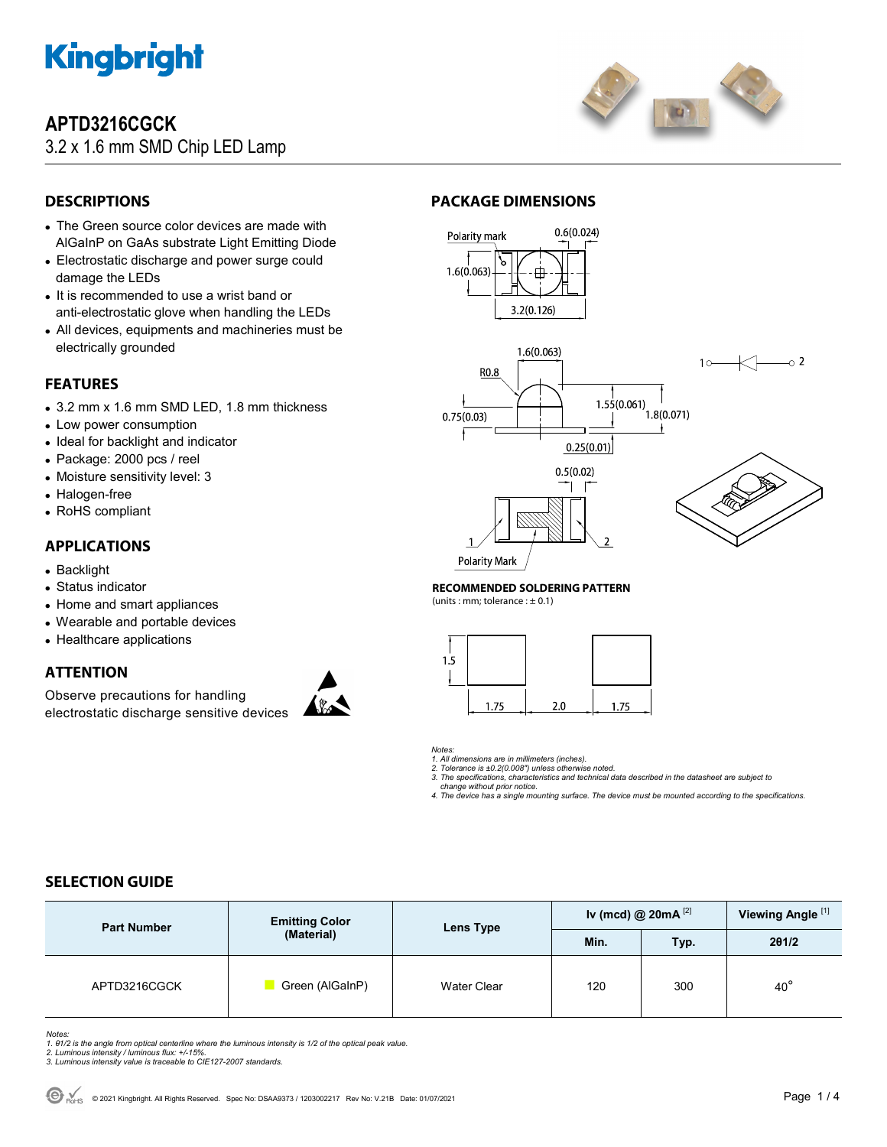

## **APTD3216CGCK**

3.2 x 1.6 mm SMD Chip LED Lamp



## **DESCRIPTIONS**

- The Green source color devices are made with AlGaInP on GaAs substrate Light Emitting Diode
- Electrostatic discharge and power surge could damage the LEDs
- It is recommended to use a wrist band or anti-electrostatic glove when handling the LEDs
- All devices, equipments and machineries must be electrically grounded

## **FEATURES**

- 3.2 mm x 1.6 mm SMD LED, 1.8 mm thickness
- Low power consumption
- Ideal for backlight and indicator
- Package: 2000 pcs / reel
- Moisture sensitivity level: 3
- Halogen-free
- RoHS compliant

### **APPLICATIONS**

- Backlight
- Status indicator
- Home and smart appliances
- Wearable and portable devices
- Healthcare applications

### **ATTENTION**

Observe precautions for handling electrostatic discharge sensitive devices



### **PACKAGE DIMENSIONS**



#### **RECOMMENDED SOLDERING PATTERN**

(units : mm; tolerance :  $\pm$  0.1)

| 1.5 |      |     |      |
|-----|------|-----|------|
|     | 1.75 | 2.0 | 1.75 |

#### *Notes:*

*1. All dimensions are in millimeters (inches). 2. Tolerance is ±0.2(0.008") unless otherwise noted.* 

*3. The specifications, characteristics and technical data described in the datasheet are subject to change without prior notice.* 

*4. The device has a single mounting surface. The device must be mounted according to the specifications.* 

## **SELECTION GUIDE**

| <b>Part Number</b> | <b>Emitting Color</b><br>(Material) | Lens Type          | Iv (mcd) @ $20mA$ <sup>[2]</sup> |      | Viewing Angle <sup>[1]</sup> |
|--------------------|-------------------------------------|--------------------|----------------------------------|------|------------------------------|
|                    |                                     |                    | Min.                             | Typ. | 201/2                        |
| APTD3216CGCK       | Green (AlGaInP)                     | <b>Water Clear</b> | 120                              | 300  | $40^{\circ}$                 |

Notes:<br>1. 81/2 is the angle from optical centerline where the luminous intensity is 1/2 of the optical peak value.<br>2. Luminous intensity / luminous flux: +/-15%.<br>3. Luminous intensity value is traceable to CIE127-2007 stan

- 
-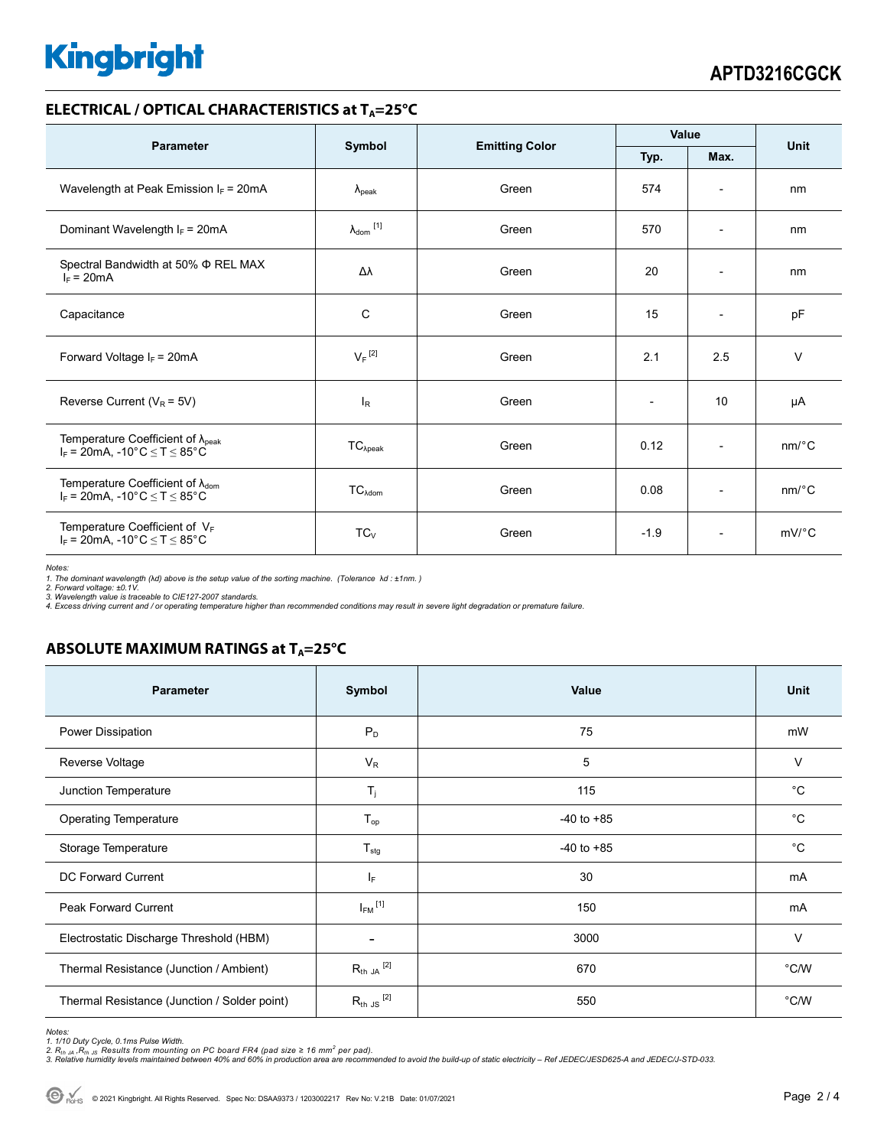# **Kingbright**

#### **ELECTRICAL / OPTICAL CHARACTERISTICS at T<sub>A</sub>=25°C**

| <b>Parameter</b>                                                                              | Symbol                     | <b>Emitting Color</b> | Value        |                          | <b>Unit</b>           |
|-----------------------------------------------------------------------------------------------|----------------------------|-----------------------|--------------|--------------------------|-----------------------|
|                                                                                               |                            |                       | Max.<br>Typ. |                          |                       |
| Wavelength at Peak Emission $I_F$ = 20mA                                                      | $\lambda_{\rm peak}$       | Green                 | 574          | $\overline{\phantom{a}}$ | nm                    |
| Dominant Wavelength $I_F = 20mA$                                                              | $\lambda_{\text{dom}}$ [1] | Green                 | 570          | $\overline{\phantom{a}}$ | nm                    |
| Spectral Bandwidth at 50% $\Phi$ REL MAX<br>$I_F = 20mA$                                      | Δλ                         | Green                 | 20           | $\overline{\phantom{a}}$ | nm                    |
| Capacitance                                                                                   | $\mathsf{C}$               | Green                 | 15           | $\overline{a}$           | pF                    |
| Forward Voltage $I_F = 20mA$                                                                  | $V_F$ <sup>[2]</sup>       | Green                 | 2.1          | 2.5                      | $\vee$                |
| Reverse Current ( $V_R$ = 5V)                                                                 | <sub>R</sub>               | Green                 |              | 10                       | μA                    |
| Temperature Coefficient of $\lambda_{peak}$<br>$I_F$ = 20mA, -10°C $\leq T \leq 85$ °C        | $TC_{\lambda peak}$        | Green                 | 0.12         | $\overline{\phantom{a}}$ | nm/°C                 |
| Temperature Coefficient of $\lambda_{\text{dom}}$<br>$I_F$ = 20mA, -10°C $\leq$ T $\leq$ 85°C | $TC_{\lambda dom}$         | Green                 | 0.08         | $\overline{\phantom{a}}$ | $nm$ <sup>o</sup> $C$ |
| Temperature Coefficient of $V_F$<br>$I_F$ = 20mA, -10°C $\leq$ T $\leq$ 85°C                  | $TC_V$                     | Green                 | $-1.9$       | $\overline{\phantom{a}}$ | $mV$ °C               |

*Notes:* 

1. The dominant wavelength (λd) above is the setup value of the sorting machine. (Tolerance λd : ±1nm. )<br>2. Forward voltage: ±0.1V.<br>3. Wavelength value is traceable to CIE127-2007 standards.

*4. Excess driving current and / or operating temperature higher than recommended conditions may result in severe light degradation or premature failure.* 

## **ABSOLUTE MAXIMUM RATINGS at T<sub>A</sub>=25°C**

| <b>Parameter</b>                             | Symbol                   | Value          | <b>Unit</b> |
|----------------------------------------------|--------------------------|----------------|-------------|
| Power Dissipation                            | $P_D$                    | 75             | mW          |
| Reverse Voltage                              | $V_R$                    | 5              | $\vee$      |
| Junction Temperature                         | $T_{j}$                  | 115            | $^{\circ}C$ |
| <b>Operating Temperature</b>                 | $T_{op}$                 | $-40$ to $+85$ | $^{\circ}C$ |
| Storage Temperature                          | $T_{\text{stg}}$         | $-40$ to $+85$ | $^{\circ}C$ |
| <b>DC Forward Current</b>                    | IF.                      | 30             | mA          |
| <b>Peak Forward Current</b>                  | $I_{FM}$ <sup>[1]</sup>  | 150            | mA          |
| Electrostatic Discharge Threshold (HBM)      | $\overline{\phantom{a}}$ | 3000           | V           |
| Thermal Resistance (Junction / Ambient)      | $R_{th}$ JA $^{[2]}$     | 670            | °C/W        |
| Thermal Resistance (Junction / Solder point) | $R_{th}$ JS $^{[2]}$     | 550            | °C/W        |

*Notes:* 

1. 1/10 Duty Cycle, 0.1ms Pulse Width.<br>2. R<sub>th Ja</sub> ,R<sub>h JS</sub> Results from mounting on PC board FR4 (pad size ≥ 16 mm<sup>2</sup> per pad).<br>3. Relative humidity levels maintained between 40% and 60% in production area are recommende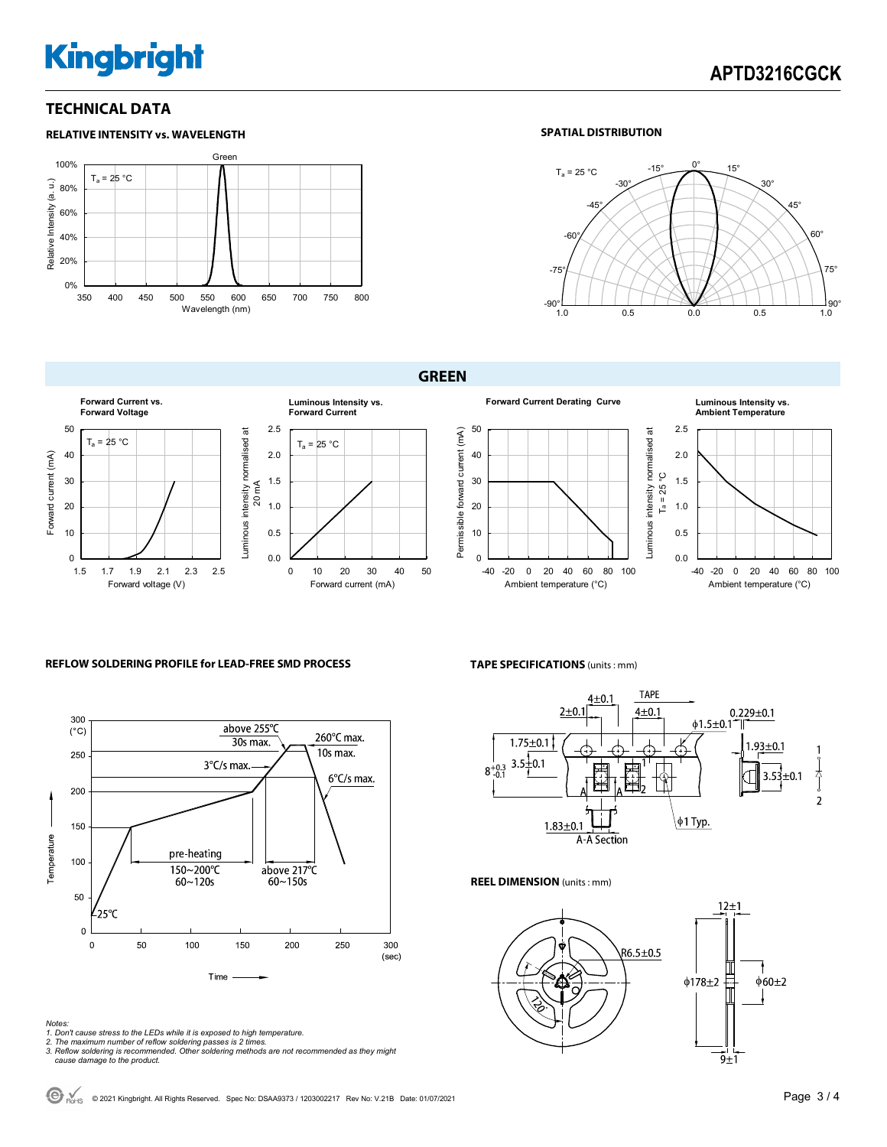# **Kingbright**

### **TECHNICAL DATA**



#### **SPATIAL DISTRIBUTION**



#### **GREEN**









#### **REFLOW SOLDERING PROFILE for LEAD-FREE SMD PROCESS**



#### *Notes:*

- *1. Don't cause stress to the LEDs while it is exposed to high temperature.*
- 
- *2. The maximum number of reflow soldering passes is 2 times. 3. Reflow soldering is recommended. Other soldering methods are not recommended as they might cause damage to the product.*

#### **TAPE SPECIFICATIONS** (units : mm)



#### **REEL DIMENSION** (units : mm)



© 2021 Kingbright. All Rights Reserved. Spec No: DSAA9373 / 1203002217 Rev No: V.21B Date: 01/07/2021Page 3 / 4